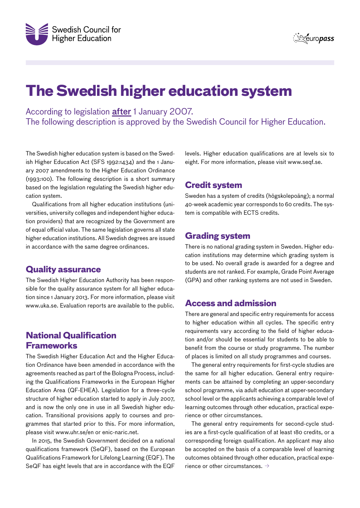

**Szeuropass** 

# **The Swedish higher education system**

According to legislation **after** 1 January 2007. The following description is approved by the Swedish Council for Higher Education.

The Swedish higher education system is based on the Swedish Higher Education Act (SFS 1992:1434) and the 1 January 2007 amendments to the Higher Education Ordinance (1993:100). The following description is a short summary based on the legislation regulating the Swedish higher education system.

Qualifications from all higher education institutions (universities, university colleges and independent higher education providers) that are recognized by the Government are of equal official value. The same legislation governs all state higher education institutions. All Swedish degrees are issued in accordance with the same degree ordinances.

#### **Quality assurance**

The Swedish Higher Education Authority has been responsible for the quality assurance system for all higher education since 1 January 2013. For more information, please visit www.uka.se. Evaluation reports are available to the public.

# **National Qualification Frameworks**

The Swedish Higher Education Act and the Higher Education Ordinance have been amended in accordance with the agreements reached as part of the Bologna Process, including the Qualifications Frameworks in the European Higher Education Area (QF-EHEA). Legislation for a three-cycle structure of higher education started to apply in July 2007, and is now the only one in use in all Swedish higher education. Transitional provisions apply to courses and programmes that started prior to this. For more information, please visit www.uhr.se/en or enic-naric.net.

In 2015, the Swedish Government decided on a national qualifications framework (SeQF), based on the European Qualifications Framework for Lifelong Learning (EQF). The SeQF has eight levels that are in accordance with the EQF levels. Higher education qualifications are at levels six to eight. For more information, please visit www.seqf.se.

#### **Credit system**

Sweden has a system of credits (högskolepoäng); a normal 40-week academic year corresponds to 60 credits. The system is compatible with ECTS credits.

### **Grading system**

There is no national grading system in Sweden. Higher education institutions may determine which grading system is to be used. No overall grade is awarded for a degree and students are not ranked. For example, Grade Point Average (GPA) and other ranking systems are not used in Sweden.

#### **Access and admission**

There are general and specific entry requirements for access to higher education within all cycles. The specific entry requirements vary according to the field of higher education and/or should be essential for students to be able to benefit from the course or study programme. The number of places is limited on all study programmes and courses.

The general entry requirements for first-cycle studies are the same for all higher education. General entry requirements can be attained by completing an upper-secondary school programme, via adult education at upper-secondary school level or the applicants achieving a comparable level of learning outcomes through other education, practical experience or other circumstances.

The general entry requirements for second-cycle studies are a first-cycle qualification of at least 180 credits, or a corresponding foreign qualification. An applicant may also be accepted on the basis of a comparable level of learning outcomes obtained through other education, practical experience or other circumstances.  $\rightarrow$